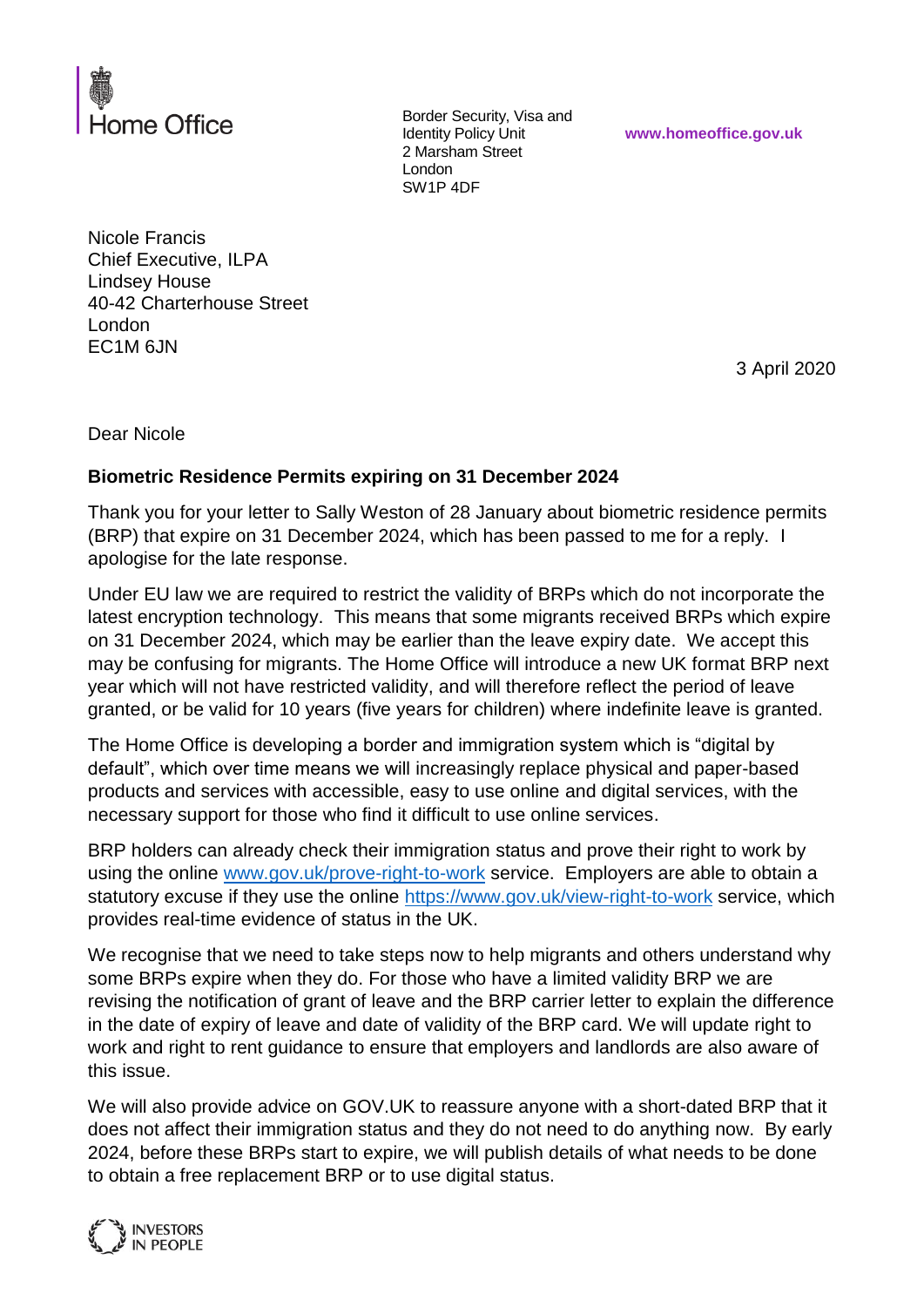

Border Security, Visa and Identity Policy Unit 2 Marsham Street London SW1P 4DF

**www.homeoffice.gov.uk**

Nicole Francis Chief Executive, ILPA Lindsey House 40-42 Charterhouse Street London EC1M 6JN

3 April 2020

Dear Nicole

## **Biometric Residence Permits expiring on 31 December 2024**

Thank you for your letter to Sally Weston of 28 January about biometric residence permits (BRP) that expire on 31 December 2024, which has been passed to me for a reply. I apologise for the late response.

Under EU law we are required to restrict the validity of BRPs which do not incorporate the latest encryption technology. This means that some migrants received BRPs which expire on 31 December 2024, which may be earlier than the leave expiry date. We accept this may be confusing for migrants. The Home Office will introduce a new UK format BRP next year which will not have restricted validity, and will therefore reflect the period of leave granted, or be valid for 10 years (five years for children) where indefinite leave is granted.

The Home Office is developing a border and immigration system which is "digital by default", which over time means we will increasingly replace physical and paper-based products and services with accessible, easy to use online and digital services, with the necessary support for those who find it difficult to use online services.

BRP holders can already check their immigration status and prove their right to work by using the online [www.gov.uk/prove-right-to-work](http://www.gov.uk/prove-right-to-work) service. Employers are able to obtain a statutory excuse if they use the online<https://www.gov.uk/view-right-to-work> service, which provides real-time evidence of status in the UK.

We recognise that we need to take steps now to help migrants and others understand why some BRPs expire when they do. For those who have a limited validity BRP we are revising the notification of grant of leave and the BRP carrier letter to explain the difference in the date of expiry of leave and date of validity of the BRP card. We will update right to work and right to rent guidance to ensure that employers and landlords are also aware of this issue.

We will also provide advice on GOV.UK to reassure anyone with a short-dated BRP that it does not affect their immigration status and they do not need to do anything now. By early 2024, before these BRPs start to expire, we will publish details of what needs to be done to obtain a free replacement BRP or to use digital status.